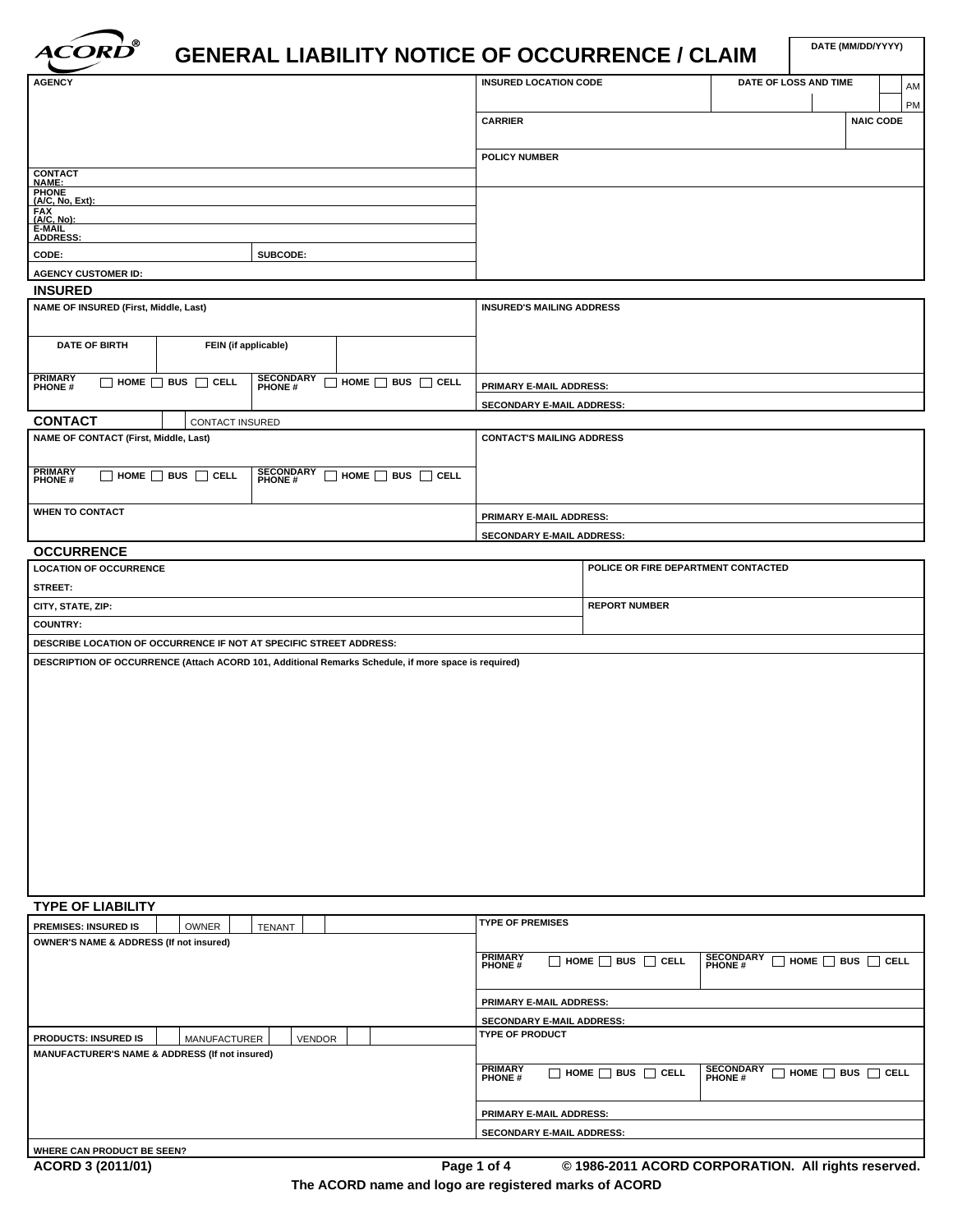

| <b>ACORD</b>                                                                      |                                    |                             | <b>GENERAL LIABILITY NOTICE OF OCCURRENCE / CLAIM</b> |                                  |                                  |                      |                                    |                                     |                                    | DATE (MM/DD/YYYY) |                  |
|-----------------------------------------------------------------------------------|------------------------------------|-----------------------------|-------------------------------------------------------|----------------------------------|----------------------------------|----------------------|------------------------------------|-------------------------------------|------------------------------------|-------------------|------------------|
| <b>AGENCY</b>                                                                     |                                    |                             |                                                       |                                  | <b>INSURED LOCATION CODE</b>     |                      |                                    |                                     | DATE OF LOSS AND TIME              |                   | AM               |
|                                                                                   |                                    |                             |                                                       |                                  |                                  |                      |                                    |                                     |                                    |                   | PM               |
|                                                                                   |                                    |                             |                                                       | <b>CARRIER</b>                   |                                  |                      |                                    |                                     |                                    |                   | <b>NAIC CODE</b> |
|                                                                                   |                                    |                             |                                                       |                                  |                                  |                      |                                    |                                     |                                    |                   |                  |
|                                                                                   |                                    |                             |                                                       | POLICY NUMBER                    |                                  |                      |                                    |                                     |                                    |                   |                  |
| <b>CONTACT<br/>NAME:</b><br><b>PHONE</b>                                          |                                    |                             |                                                       |                                  |                                  |                      |                                    |                                     |                                    |                   |                  |
| (A/C, No, Ext):<br><b>FAX</b>                                                     |                                    |                             |                                                       |                                  |                                  |                      |                                    |                                     |                                    |                   |                  |
| (A/C, No):<br>È-MAIL<br>ADDRESS:                                                  |                                    |                             |                                                       |                                  |                                  |                      |                                    |                                     |                                    |                   |                  |
| CODE:                                                                             |                                    | SUBCODE:                    |                                                       |                                  |                                  |                      |                                    |                                     |                                    |                   |                  |
|                                                                                   |                                    |                             |                                                       |                                  |                                  |                      |                                    |                                     |                                    |                   |                  |
| <b>AGENCY CUSTOMER ID:</b><br><b>INSURED</b>                                      |                                    |                             |                                                       |                                  |                                  |                      |                                    |                                     |                                    |                   |                  |
| NAME OF INSURED (First, Middle, Last)                                             |                                    |                             |                                                       | <b>INSURED'S MAILING ADDRESS</b> |                                  |                      |                                    |                                     |                                    |                   |                  |
|                                                                                   |                                    |                             |                                                       |                                  |                                  |                      |                                    |                                     |                                    |                   |                  |
| <b>DATE OF BIRTH</b>                                                              | FEIN (if applicable)               |                             |                                                       |                                  |                                  |                      |                                    |                                     |                                    |                   |                  |
|                                                                                   |                                    |                             |                                                       |                                  |                                  |                      |                                    |                                     |                                    |                   |                  |
| <b>PRIMARY</b><br><b>PHONE</b> #                                                  | $\Box$ HOME $\Box$ BUS $\Box$ CELL | <b>SECONDARY</b><br>PHONE # | $\Box$ HOME $\Box$ BUS $\Box$ CELL                    | PRIMARY E-MAIL ADDRESS:          |                                  |                      |                                    |                                     |                                    |                   |                  |
|                                                                                   |                                    |                             |                                                       |                                  | SECONDARY E-MAIL ADDRESS:        |                      |                                    |                                     |                                    |                   |                  |
| <b>CONTACT</b>                                                                    | <b>CONTACT INSURED</b>             |                             |                                                       |                                  |                                  |                      |                                    |                                     |                                    |                   |                  |
| NAME OF CONTACT (First, Middle, Last)                                             |                                    |                             |                                                       |                                  | <b>CONTACT'S MAILING ADDRESS</b> |                      |                                    |                                     |                                    |                   |                  |
| <b>PRIMARY</b><br><b>PHONE</b> #                                                  | $\Box$ home $\Box$ bus $\Box$ cell | <b>SECONDARY</b><br>PHONE # | $\Box$ HOME $\Box$ BUS $\Box$ CELL                    |                                  |                                  |                      |                                    |                                     |                                    |                   |                  |
|                                                                                   |                                    |                             |                                                       |                                  |                                  |                      |                                    |                                     |                                    |                   |                  |
| <b>WHEN TO CONTACT</b>                                                            |                                    |                             |                                                       |                                  |                                  |                      |                                    |                                     |                                    |                   |                  |
|                                                                                   |                                    |                             |                                                       | PRIMARY E-MAIL ADDRESS:          | SECONDARY E-MAIL ADDRESS:        |                      |                                    |                                     |                                    |                   |                  |
| <b>OCCURRENCE</b>                                                                 |                                    |                             |                                                       |                                  |                                  |                      |                                    |                                     |                                    |                   |                  |
| <b>LOCATION OF OCCURRENCE</b>                                                     |                                    |                             |                                                       |                                  |                                  |                      |                                    | POLICE OR FIRE DEPARTMENT CONTACTED |                                    |                   |                  |
| STREET:                                                                           |                                    |                             |                                                       |                                  |                                  |                      |                                    |                                     |                                    |                   |                  |
| CITY, STATE, ZIP:                                                                 |                                    |                             |                                                       |                                  |                                  | <b>REPORT NUMBER</b> |                                    |                                     |                                    |                   |                  |
| <b>COUNTRY:</b>                                                                   |                                    |                             |                                                       |                                  |                                  |                      |                                    |                                     |                                    |                   |                  |
| DESCRIBE LOCATION OF OCCURRENCE IF NOT AT SPECIFIC STREET ADDRESS:                |                                    |                             |                                                       |                                  |                                  |                      |                                    |                                     |                                    |                   |                  |
|                                                                                   |                                    |                             |                                                       |                                  |                                  |                      |                                    |                                     |                                    |                   |                  |
|                                                                                   |                                    |                             |                                                       |                                  |                                  |                      |                                    |                                     |                                    |                   |                  |
|                                                                                   |                                    |                             |                                                       |                                  |                                  |                      |                                    |                                     |                                    |                   |                  |
|                                                                                   |                                    |                             |                                                       |                                  |                                  |                      |                                    |                                     |                                    |                   |                  |
|                                                                                   |                                    |                             |                                                       |                                  |                                  |                      |                                    |                                     |                                    |                   |                  |
|                                                                                   |                                    |                             |                                                       |                                  |                                  |                      |                                    |                                     |                                    |                   |                  |
|                                                                                   |                                    |                             |                                                       |                                  |                                  |                      |                                    |                                     |                                    |                   |                  |
|                                                                                   |                                    |                             |                                                       |                                  |                                  |                      |                                    |                                     |                                    |                   |                  |
|                                                                                   |                                    |                             |                                                       |                                  |                                  |                      |                                    |                                     |                                    |                   |                  |
|                                                                                   |                                    |                             |                                                       |                                  |                                  |                      |                                    |                                     |                                    |                   |                  |
| <b>TYPE OF LIABILITY</b>                                                          |                                    |                             |                                                       | <b>TYPE OF PREMISES</b>          |                                  |                      |                                    |                                     |                                    |                   |                  |
| <b>PREMISES: INSURED IS</b><br><b>OWNER'S NAME &amp; ADDRESS (If not insured)</b> | <b>OWNER</b>                       | <b>TENANT</b>               |                                                       |                                  |                                  |                      |                                    |                                     |                                    |                   |                  |
|                                                                                   |                                    |                             |                                                       | <b>PRIMARY</b><br><b>PHONE</b> # |                                  |                      | $\Box$ HOME $\Box$ BUS $\Box$ CELL | <b>SECONDARY</b><br>PHONE #         | $\Box$ HOME $\Box$ BUS $\Box$ CELL |                   |                  |
|                                                                                   |                                    |                             |                                                       | PRIMARY E-MAIL ADDRESS:          |                                  |                      |                                    |                                     |                                    |                   |                  |
|                                                                                   |                                    |                             |                                                       | SECONDARY E-MAIL ADDRESS:        |                                  |                      |                                    |                                     |                                    |                   |                  |
| <b>PRODUCTS: INSURED IS</b><br>MANUFACTURER<br><b>VENDOR</b>                      |                                    |                             |                                                       | <b>TYPE OF PRODUCT</b>           |                                  |                      |                                    |                                     |                                    |                   |                  |
| MANUFACTURER'S NAME & ADDRESS (If not insured)                                    |                                    |                             |                                                       |                                  |                                  |                      |                                    |                                     |                                    |                   |                  |
|                                                                                   |                                    |                             |                                                       | <b>PRIMARY</b><br><b>PHONE#</b>  |                                  |                      | $\Box$ HOME $\Box$ BUS $\Box$ CELL | <b>SECONDARY</b><br>PHONE #         | $\Box$ HOME $\Box$ BUS $\Box$ CELL |                   |                  |
|                                                                                   |                                    |                             |                                                       | PRIMARY E-MAIL ADDRESS:          |                                  |                      |                                    |                                     |                                    |                   |                  |
|                                                                                   |                                    |                             |                                                       | SECONDARY E-MAIL ADDRESS:        |                                  |                      |                                    |                                     |                                    |                   |                  |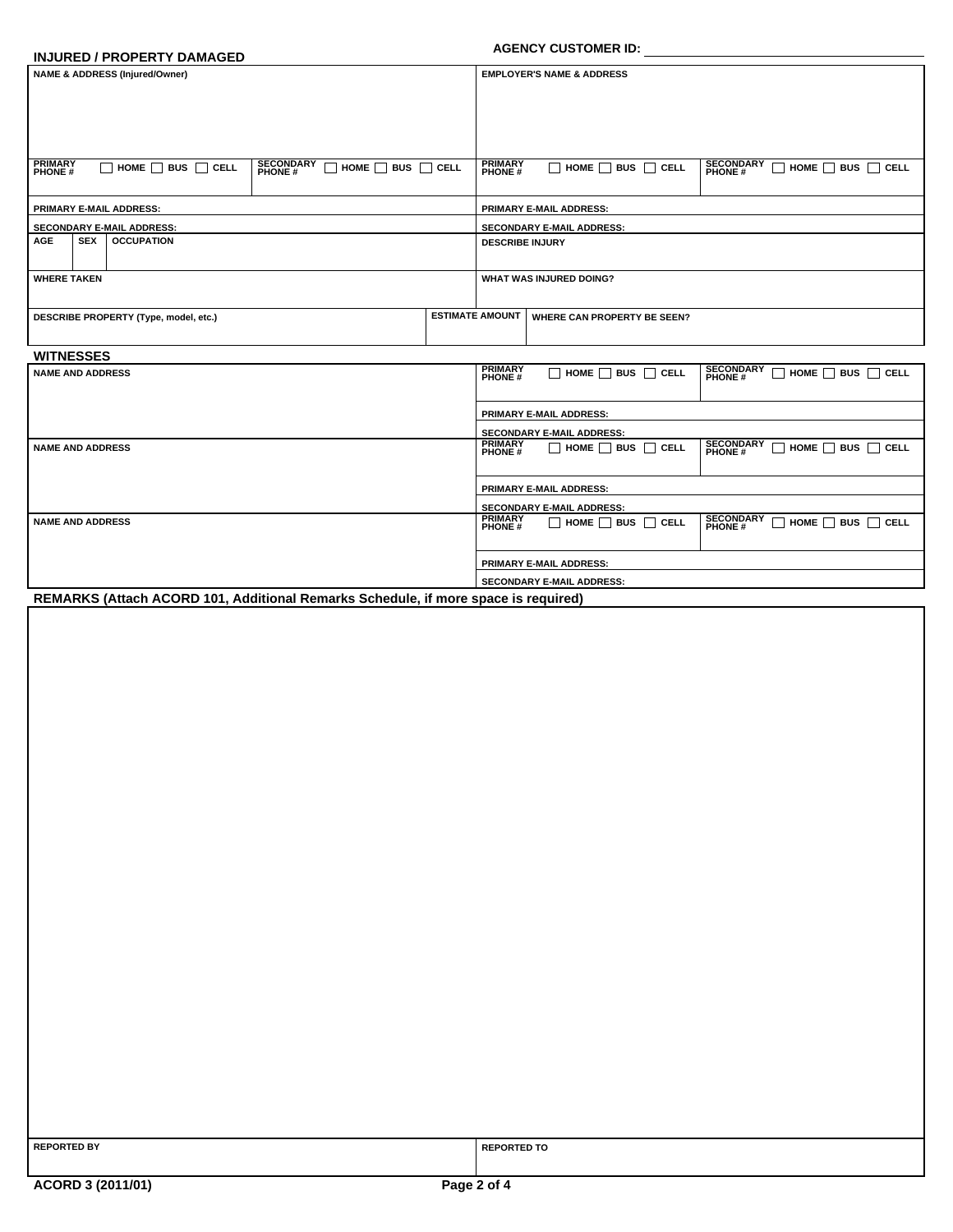#### **INJURED / PROPERTY DAMAGED**

# **AGENCY CUSTOMER ID:**

| <b>NAME &amp; ADDRESS (Injured/Owner)</b>     |  |                                    |                                                                               | <b>EMPLOYER'S NAME &amp; ADDRESS</b>                  |                                 |                                    |                                                                         |  |  |  |  |
|-----------------------------------------------|--|------------------------------------|-------------------------------------------------------------------------------|-------------------------------------------------------|---------------------------------|------------------------------------|-------------------------------------------------------------------------|--|--|--|--|
|                                               |  |                                    |                                                                               |                                                       |                                 |                                    |                                                                         |  |  |  |  |
|                                               |  |                                    |                                                                               |                                                       |                                 |                                    |                                                                         |  |  |  |  |
|                                               |  |                                    |                                                                               |                                                       |                                 |                                    |                                                                         |  |  |  |  |
|                                               |  |                                    |                                                                               |                                                       |                                 |                                    |                                                                         |  |  |  |  |
| <b>PRIMARY</b><br><b>PHONE#</b>               |  | $\Box$ home $\Box$ bus $\Box$ cell | <b>SECONDARY</b><br>$\sqcap$ home $\sqcap$ bus $\sqcap$ cell<br><b>PHONE#</b> |                                                       | <b>PRIMARY</b><br><b>PHONE#</b> | $\Box$ home $\Box$ bus $\Box$ cell | <b>SECONDARY</b><br>$\Box$ HOME $\Box$ BUS $\Box$ CELL<br><b>PHONE#</b> |  |  |  |  |
| <b>PRIMARY E-MAIL ADDRESS:</b>                |  |                                    |                                                                               |                                                       | <b>PRIMARY E-MAIL ADDRESS:</b>  |                                    |                                                                         |  |  |  |  |
| <b>SECONDARY E-MAIL ADDRESS:</b>              |  |                                    |                                                                               | <b>SECONDARY E-MAIL ADDRESS:</b>                      |                                 |                                    |                                                                         |  |  |  |  |
| <b>SEX</b><br><b>AGE</b><br><b>OCCUPATION</b> |  |                                    |                                                                               | <b>DESCRIBE INJURY</b>                                |                                 |                                    |                                                                         |  |  |  |  |
|                                               |  |                                    |                                                                               |                                                       |                                 |                                    |                                                                         |  |  |  |  |
| <b>WHERE TAKEN</b>                            |  |                                    |                                                                               | <b>WHAT WAS INJURED DOING?</b>                        |                                 |                                    |                                                                         |  |  |  |  |
|                                               |  |                                    |                                                                               |                                                       |                                 |                                    |                                                                         |  |  |  |  |
| DESCRIBE PROPERTY (Type, model, etc.)         |  |                                    |                                                                               | <b>ESTIMATE AMOUNT</b><br>WHERE CAN PROPERTY BE SEEN? |                                 |                                    |                                                                         |  |  |  |  |
|                                               |  |                                    |                                                                               |                                                       |                                 |                                    |                                                                         |  |  |  |  |

| <b>WITNESSES</b> |  |  |  |  |
|------------------|--|--|--|--|
|                  |  |  |  |  |

| <b>WITNESSES</b>                                                                   |                                                                                                                                                         |  |  |  |  |  |  |
|------------------------------------------------------------------------------------|---------------------------------------------------------------------------------------------------------------------------------------------------------|--|--|--|--|--|--|
| <b>NAME AND ADDRESS</b>                                                            | <b>PRIMARY</b><br><b>SECONDARY</b><br>$\Box$ HOME $\Box$ BUS $\Box$ CELL<br>$\vert$ home $\Box$ bus $\Box$ cell<br><b>PHONE#</b><br>PHONE #             |  |  |  |  |  |  |
|                                                                                    | <b>PRIMARY E-MAIL ADDRESS:</b>                                                                                                                          |  |  |  |  |  |  |
|                                                                                    | <b>SECONDARY E-MAIL ADDRESS:</b>                                                                                                                        |  |  |  |  |  |  |
| <b>NAME AND ADDRESS</b>                                                            | <b>PRIMARY</b><br><b>SECONDARY</b><br>$\exists$ home $\Box$ bus $\Box$ cell<br>$\mid$ home $\sqcap$ bus $\sqcap$ cell<br><b>PHONE#</b><br><b>PHONE#</b> |  |  |  |  |  |  |
|                                                                                    | <b>PRIMARY E-MAIL ADDRESS:</b>                                                                                                                          |  |  |  |  |  |  |
|                                                                                    | <b>SECONDARY E-MAIL ADDRESS:</b>                                                                                                                        |  |  |  |  |  |  |
| <b>NAME AND ADDRESS</b>                                                            | <b>PRIMARY</b><br><b>SECONDARY</b><br>$\Box$ HOME $\Box$ BUS $\Box$ CELL<br>$\vert$ home $\Box$ bus $\Box$ cell<br><b>PHONE#</b><br><b>PHONE#</b>       |  |  |  |  |  |  |
|                                                                                    | <b>PRIMARY E-MAIL ADDRESS:</b>                                                                                                                          |  |  |  |  |  |  |
|                                                                                    | <b>SECONDARY E-MAIL ADDRESS:</b>                                                                                                                        |  |  |  |  |  |  |
| REMARKS (Attach ACORD 101, Additional Remarks Schedule, if more space is required) |                                                                                                                                                         |  |  |  |  |  |  |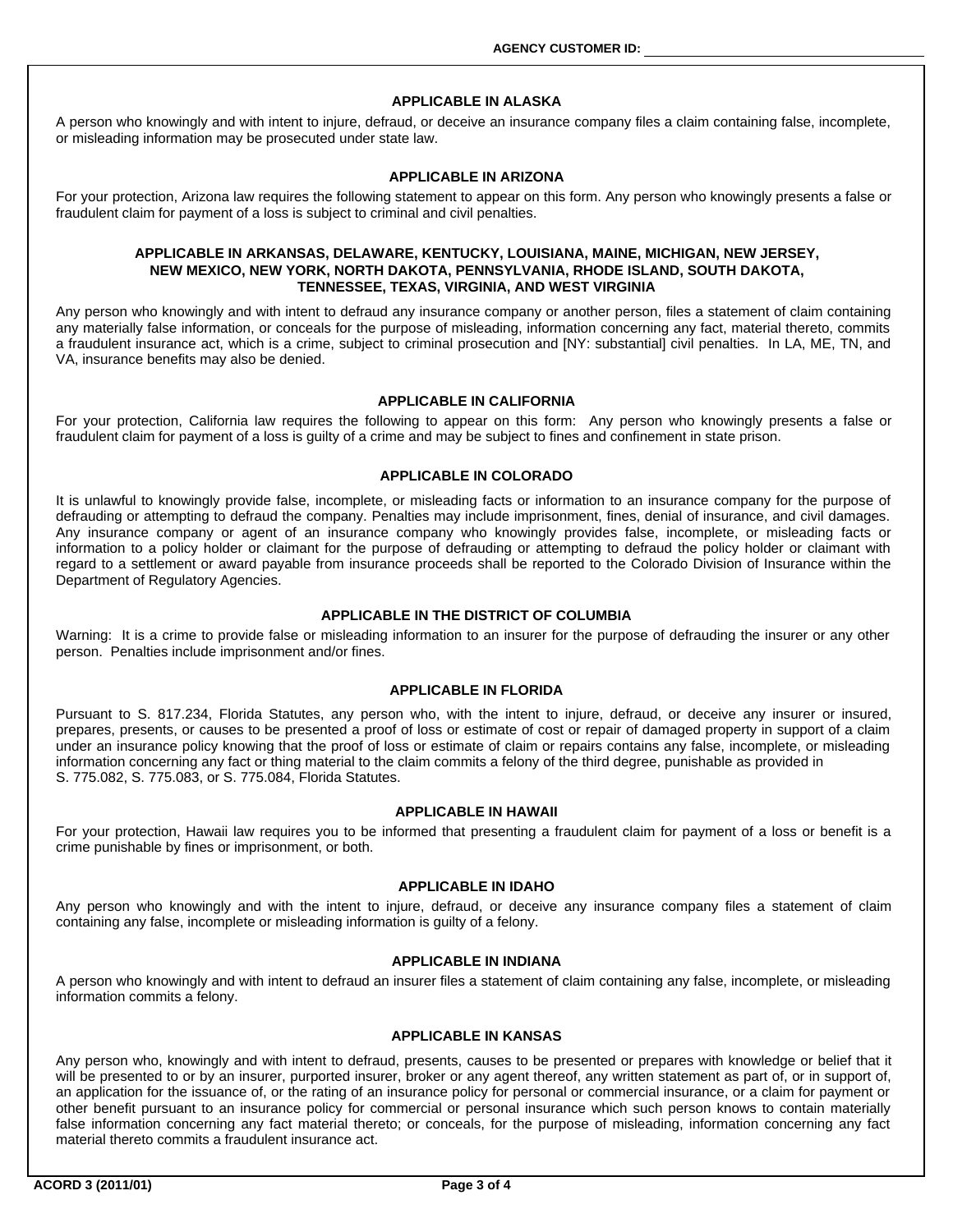### **APPLICABLE IN ALASKA**

A person who knowingly and with intent to injure, defraud, or deceive an insurance company files a claim containing false, incomplete, or misleading information may be prosecuted under state law.

#### **APPLICABLE IN ARIZONA**

For your protection, Arizona law requires the following statement to appear on this form. Any person who knowingly presents a false or fraudulent claim for payment of a loss is subject to criminal and civil penalties.

### **APPLICABLE IN ARKANSAS, DELAWARE, KENTUCKY, LOUISIANA, MAINE, MICHIGAN, NEW JERSEY, NEW MEXICO, NEW YORK, NORTH DAKOTA, PENNSYLVANIA, RHODE ISLAND, SOUTH DAKOTA, TENNESSEE, TEXAS, VIRGINIA, AND WEST VIRGINIA**

Any person who knowingly and with intent to defraud any insurance company or another person, files a statement of claim containing any materially false information, or conceals for the purpose of misleading, information concerning any fact, material thereto, commits a fraudulent insurance act, which is a crime, subject to criminal prosecution and [NY: substantial] civil penalties. In LA, ME, TN, and VA, insurance benefits may also be denied.

## **APPLICABLE IN CALIFORNIA**

For your protection, California law requires the following to appear on this form: Any person who knowingly presents a false or fraudulent claim for payment of a loss is guilty of a crime and may be subject to fines and confinement in state prison.

#### **APPLICABLE IN COLORADO**

It is unlawful to knowingly provide false, incomplete, or misleading facts or information to an insurance company for the purpose of defrauding or attempting to defraud the company. Penalties may include imprisonment, fines, denial of insurance, and civil damages. Any insurance company or agent of an insurance company who knowingly provides false, incomplete, or misleading facts or information to a policy holder or claimant for the purpose of defrauding or attempting to defraud the policy holder or claimant with regard to a settlement or award payable from insurance proceeds shall be reported to the Colorado Division of Insurance within the Department of Regulatory Agencies.

# **APPLICABLE IN THE DISTRICT OF COLUMBIA**

Warning: It is a crime to provide false or misleading information to an insurer for the purpose of defrauding the insurer or any other person. Penalties include imprisonment and/or fines.

#### **APPLICABLE IN FLORIDA**

Pursuant to S. 817.234, Florida Statutes, any person who, with the intent to injure, defraud, or deceive any insurer or insured, prepares, presents, or causes to be presented a proof of loss or estimate of cost or repair of damaged property in support of a claim under an insurance policy knowing that the proof of loss or estimate of claim or repairs contains any false, incomplete, or misleading information concerning any fact or thing material to the claim commits a felony of the third degree, punishable as provided in S. 775.082, S. 775.083, or S. 775.084, Florida Statutes.

#### **APPLICABLE IN HAWAII**

For your protection, Hawaii law requires you to be informed that presenting a fraudulent claim for payment of a loss or benefit is a crime punishable by fines or imprisonment, or both.

#### **APPLICABLE IN IDAHO**

Any person who knowingly and with the intent to injure, defraud, or deceive any insurance company files a statement of claim containing any false, incomplete or misleading information is guilty of a felony.

#### **APPLICABLE IN INDIANA**

A person who knowingly and with intent to defraud an insurer files a statement of claim containing any false, incomplete, or misleading information commits a felony.

## **APPLICABLE IN KANSAS**

Any person who, knowingly and with intent to defraud, presents, causes to be presented or prepares with knowledge or belief that it will be presented to or by an insurer, purported insurer, broker or any agent thereof, any written statement as part of, or in support of, an application for the issuance of, or the rating of an insurance policy for personal or commercial insurance, or a claim for payment or other benefit pursuant to an insurance policy for commercial or personal insurance which such person knows to contain materially false information concerning any fact material thereto; or conceals, for the purpose of misleading, information concerning any fact material thereto commits a fraudulent insurance act.